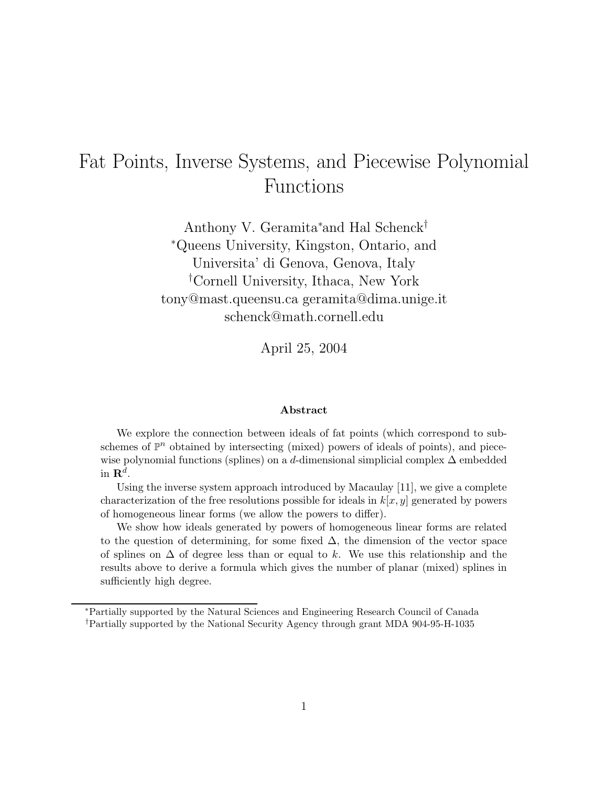# Fat Points, Inverse Systems, and Piecewise Polynomial Functions

Anthony V. Geramita<sup>∗</sup> and Hal Schenck† <sup>∗</sup>Queens University, Kingston, Ontario, and Universita' di Genova, Genova, Italy † Cornell University, Ithaca, New York tony@mast.queensu.ca geramita@dima.unige.it schenck@math.cornell.edu

April 25, 2004

#### **Abstract**

We explore the connection between ideals of fat points (which correspond to subschemes of  $\mathbb{P}^n$  obtained by intersecting (mixed) powers of ideals of points), and piecewise polynomial functions (splines) on a d-dimensional simplicial complex  $\Delta$  embedded in  $\mathbf{R}^d$ .

Using the inverse system approach introduced by Macaulay [11], we give a complete characterization of the free resolutions possible for ideals in  $k[x, y]$  generated by powers of homogeneous linear forms (we allow the powers to differ).

We show how ideals generated by powers of homogeneous linear forms are related to the question of determining, for some fixed  $\Delta$ , the dimension of the vector space of splines on  $\Delta$  of degree less than or equal to k. We use this relationship and the results above to derive a formula which gives the number of planar (mixed) splines in sufficiently high degree.

<sup>∗</sup>Partially supported by the Natural Sciences and Engineering Research Council of Canada †Partially supported by the National Security Agency through grant MDA 904-95-H-1035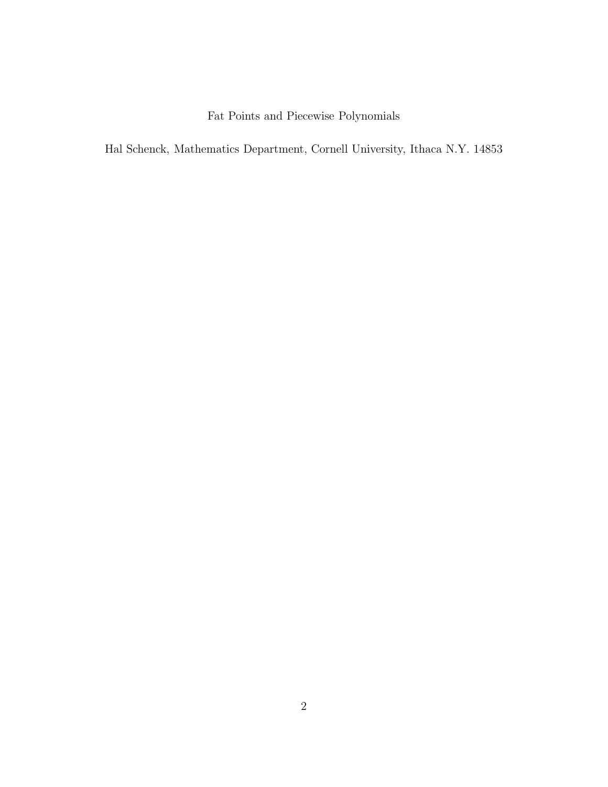Fat Points and Piecewise Polynomials

Hal Schenck, Mathematics Department, Cornell University, Ithaca N.Y. 14853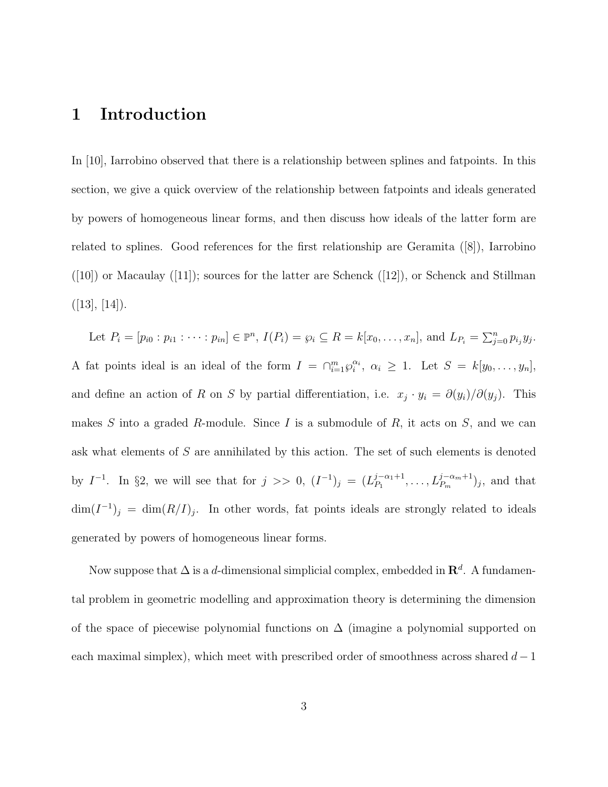## **1 Introduction**

In [10], Iarrobino observed that there is a relationship between splines and fatpoints. In this section, we give a quick overview of the relationship between fatpoints and ideals generated by powers of homogeneous linear forms, and then discuss how ideals of the latter form are related to splines. Good references for the first relationship are Geramita ([8]), Iarrobino  $([10])$  or Macaulay  $([11])$ ; sources for the latter are Schenck  $([12])$ , or Schenck and Stillman  $([13], [14]).$ 

Let  $P_i = [p_{i0} : p_{i1} : \cdots : p_{in}] \in \mathbb{P}^n$ ,  $I(P_i) = \wp_i \subseteq R = k[x_0, \ldots, x_n]$ , and  $L_{P_i} = \sum_{j=0}^n p_{i_j} y_j$ . A fat points ideal is an ideal of the form  $I = \bigcap_{i=1}^{m} \varphi_i^{\alpha_i}, \alpha_i \geq 1$ . Let  $S = k[y_0, \ldots, y_n],$ and define an action of R on S by partial differentiation, i.e.  $x_j \cdot y_i = \partial(y_i)/\partial(y_j)$ . This makes S into a graded R-module. Since I is a submodule of R, it acts on S, and we can ask what elements of S are annihilated by this action. The set of such elements is denoted by  $I^{-1}$ . In §2, we will see that for  $j \ge 0$ ,  $(I^{-1})_j = (L_{P_1}^{j-\alpha_1+1}, \ldots, L_{P_m}^{j-\alpha_m+1})_j$ , and that  $\dim(I^{-1})_j = \dim(R/I)_j$ . In other words, fat points ideals are strongly related to ideals generated by powers of homogeneous linear forms.

Now suppose that  $\Delta$  is a d-dimensional simplicial complex, embedded in  $\mathbb{R}^d$ . A fundamental problem in geometric modelling and approximation theory is determining the dimension of the space of piecewise polynomial functions on  $\Delta$  (imagine a polynomial supported on each maximal simplex), which meet with prescribed order of smoothness across shared  $d-1$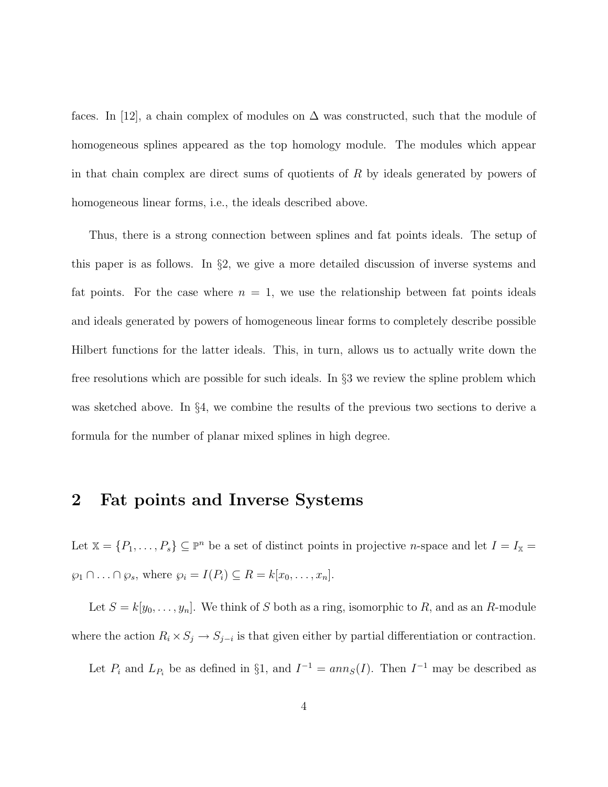faces. In [12], a chain complex of modules on  $\Delta$  was constructed, such that the module of homogeneous splines appeared as the top homology module. The modules which appear in that chain complex are direct sums of quotients of  $R$  by ideals generated by powers of homogeneous linear forms, i.e., the ideals described above.

Thus, there is a strong connection between splines and fat points ideals. The setup of this paper is as follows. In §2, we give a more detailed discussion of inverse systems and fat points. For the case where  $n = 1$ , we use the relationship between fat points ideals and ideals generated by powers of homogeneous linear forms to completely describe possible Hilbert functions for the latter ideals. This, in turn, allows us to actually write down the free resolutions which are possible for such ideals. In §3 we review the spline problem which was sketched above. In §4, we combine the results of the previous two sections to derive a formula for the number of planar mixed splines in high degree.

#### **2 Fat points and Inverse Systems**

Let  $\mathbb{X} = \{P_1, \ldots, P_s\} \subseteq \mathbb{P}^n$  be a set of distinct points in projective *n*-space and let  $I = I_{\mathbb{X}} =$  $\wp_1 \cap \ldots \cap \wp_s$ , where  $\wp_i = I(P_i) \subseteq R = k[x_0, \ldots, x_n].$ 

Let  $S = k[y_0, \ldots, y_n]$ . We think of S both as a ring, isomorphic to R, and as an R-module where the action  $R_i \times S_j \to S_{j-i}$  is that given either by partial differentiation or contraction.

Let  $P_i$  and  $L_{P_i}$  be as defined in §1, and  $I^{-1} = ann_S(I)$ . Then  $I^{-1}$  may be described as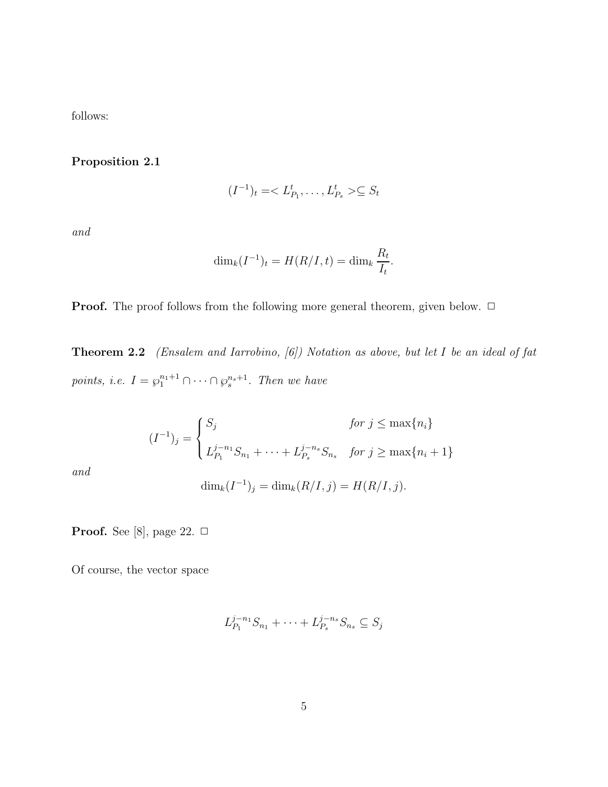follows:

**Proposition 2.1**

$$
(I^{-1})_t =  \subseteq S_t
$$

and

$$
\dim_k(I^{-1})_t = H(R/I, t) = \dim_k \frac{R_t}{I_t}.
$$

**Proof.** The proof follows from the following more general theorem, given below. □

**Theorem 2.2** (Ensalem and Iarrobino, [6]) Notation as above, but let I be an ideal of fat points, i.e.  $I = \varphi_1^{n_1+1} \cap \cdots \cap \varphi_s^{n_s+1}$ . Then we have

$$
(I^{-1})_j = \begin{cases} S_j & \text{for } j \le \max\{n_i\} \\ L_{P_1}^{j-n_1} S_{n_1} + \dots + L_{P_s}^{j-n_s} S_{n_s} & \text{for } j \ge \max\{n_i + 1\} \end{cases}
$$

and

$$
\dim_k(I^{-1})_j = \dim_k(R/I, j) = H(R/I, j).
$$

**Proof.** See [8], page 22.  $\Box$ 

Of course, the vector space

$$
L_{P_1}^{j-n_1}S_{n_1} + \cdots + L_{P_s}^{j-n_s}S_{n_s} \subseteq S_j
$$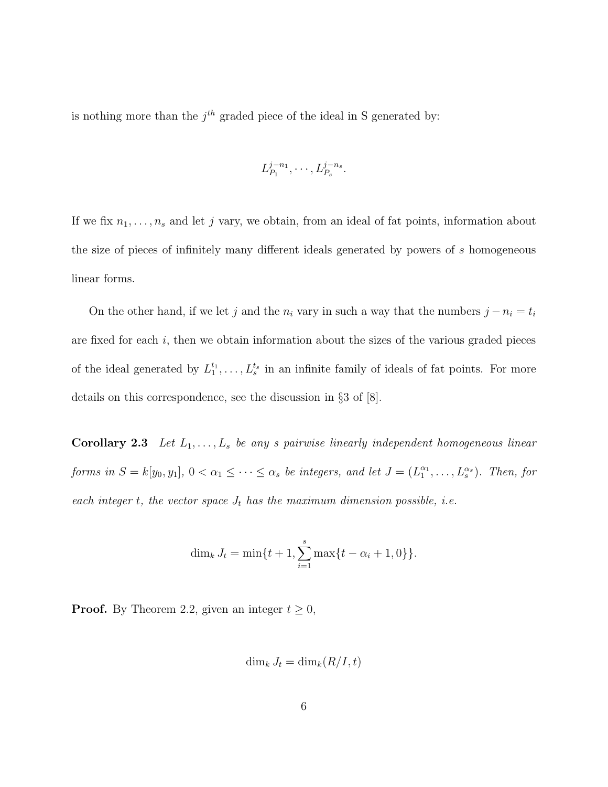is nothing more than the  $j<sup>th</sup>$  graded piece of the ideal in S generated by:

$$
L_{P_1}^{j-n_1}, \cdots, L_{P_s}^{j-n_s}.
$$

If we fix  $n_1, \ldots, n_s$  and let j vary, we obtain, from an ideal of fat points, information about the size of pieces of infinitely many different ideals generated by powers of s homogeneous linear forms.

On the other hand, if we let j and the  $n_i$  vary in such a way that the numbers  $j - n_i = t_i$ are fixed for each  $i$ , then we obtain information about the sizes of the various graded pieces of the ideal generated by  $L_1^{t_1}, \ldots, L_s^{t_s}$  in an infinite family of ideals of fat points. For more details on this correspondence, see the discussion in §3 of [8].

**Corollary 2.3** Let  $L_1, \ldots, L_s$  be any s pairwise linearly independent homogeneous linear forms in  $S = k[y_0, y_1], 0 < \alpha_1 \leq \cdots \leq \alpha_s$  be integers, and let  $J = (L_1^{\alpha_1}, \ldots, L_s^{\alpha_s})$ . Then, for each integer t, the vector space  $J_t$  has the maximum dimension possible, i.e.

$$
\dim_k J_t = \min\{t+1, \sum_{i=1}^s \max\{t-\alpha_i+1, 0\}\}.
$$

**Proof.** By Theorem 2.2, given an integer  $t \geq 0$ ,

$$
\dim_k J_t = \dim_k (R/I, t)
$$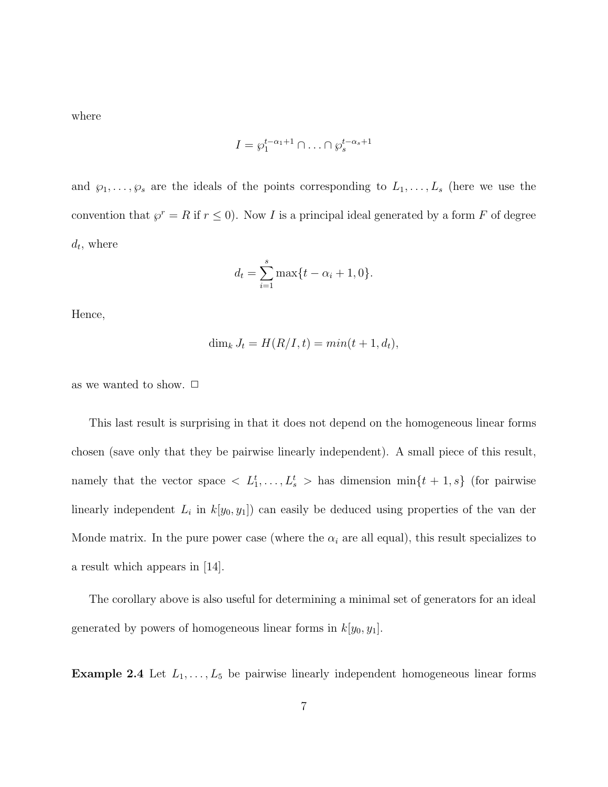where

$$
I = \wp_1^{t-\alpha_1+1} \cap \ldots \cap \wp_s^{t-\alpha_s+1}
$$

and  $\wp_1,\ldots,\wp_s$  are the ideals of the points corresponding to  $L_1,\ldots,L_s$  (here we use the convention that  $\wp^r = R$  if  $r \leq 0$ ). Now I is a principal ideal generated by a form F of degree  $d_t$ , where

$$
d_t = \sum_{i=1}^{s} \max\{t - \alpha_i + 1, 0\}.
$$

Hence,

$$
\dim_k J_t = H(R/I, t) = \min(t + 1, d_t),
$$

as we wanted to show.  $\Box$ 

This last result is surprising in that it does not depend on the homogeneous linear forms chosen (save only that they be pairwise linearly independent). A small piece of this result, namely that the vector space  $\langle L_1^t, \ldots, L_s^t \rangle$  has dimension  $\min\{t+1, s\}$  (for pairwise linearly independent  $L_i$  in  $k[y_0, y_1]$  can easily be deduced using properties of the van der Monde matrix. In the pure power case (where the  $\alpha_i$  are all equal), this result specializes to a result which appears in [14].

The corollary above is also useful for determining a minimal set of generators for an ideal generated by powers of homogeneous linear forms in  $k[y_0, y_1]$ .

**Example 2.4** Let  $L_1, \ldots, L_5$  be pairwise linearly independent homogeneous linear forms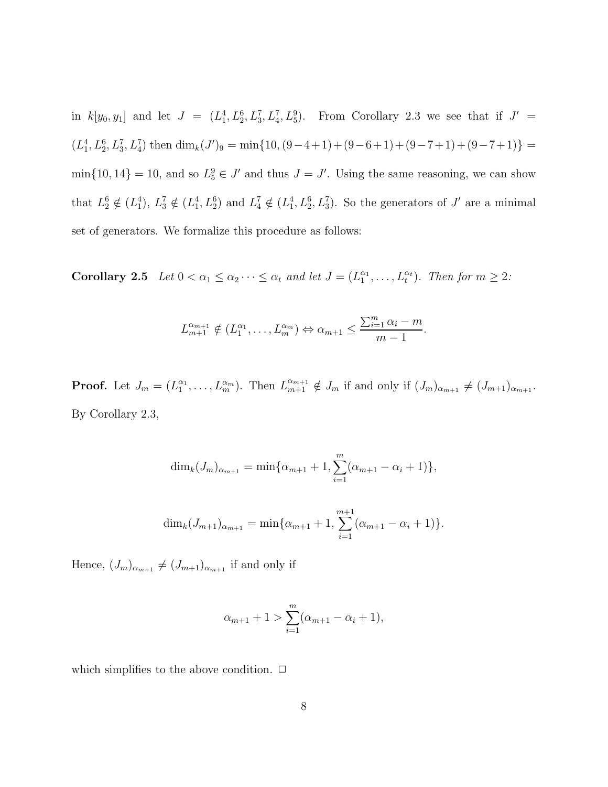in  $k[y_0, y_1]$  and let  $J = (L_1^4, L_2^6, L_3^7, L_4^7, L_5^9)$ . From Corollary 2.3 we see that if  $J' =$  $(L_1^4, L_2^6, L_3^7, L_4^7)$  then  $\dim_k(J')_9 = \min\{10, (9-4+1)+(9-6+1)+(9-7+1)+(9-7+1)\}$  $\min\{10, 14\} = 10$ , and so  $L_5^9 \in J'$  and thus  $J = J'$ . Using the same reasoning, we can show that  $L_2^6 \notin (L_1^4)$ ,  $L_3^7 \notin (L_1^4, L_2^6)$  and  $L_4^7 \notin (L_1^4, L_2^6, L_3^7)$ . So the generators of J' are a minimal set of generators. We formalize this procedure as follows:

**Corollary 2.5** Let  $0 < \alpha_1 \leq \alpha_2 \cdots \leq \alpha_t$  and let  $J = (L_1^{\alpha_1}, \ldots, L_t^{\alpha_t})$ . Then for  $m \geq 2$ :

$$
L_{m+1}^{\alpha_{m+1}} \notin (L_1^{\alpha_1}, \ldots, L_m^{\alpha_m}) \Leftrightarrow \alpha_{m+1} \le \frac{\sum_{i=1}^m \alpha_i - m}{m-1}.
$$

**Proof.** Let  $J_m = (L_1^{\alpha_1}, \ldots, L_m^{\alpha_m})$ . Then  $L_{m+1}^{\alpha_{m+1}} \notin J_m$  if and only if  $(J_m)_{\alpha_{m+1}} \neq (J_{m+1})_{\alpha_{m+1}}$ . By Corollary 2.3,

$$
\dim_k(J_m)_{\alpha_{m+1}} = \min\{\alpha_{m+1} + 1, \sum_{i=1}^m (\alpha_{m+1} - \alpha_i + 1)\},\
$$

$$
\dim_k(J_{m+1})_{\alpha_{m+1}} = \min\{\alpha_{m+1} + 1, \sum_{i=1}^{m+1} (\alpha_{m+1} - \alpha_i + 1)\}.
$$

Hence,  $(J_m)_{\alpha_{m+1}} \neq (J_{m+1})_{\alpha_{m+1}}$  if and only if

$$
\alpha_{m+1} + 1 > \sum_{i=1}^{m} (\alpha_{m+1} - \alpha_i + 1),
$$

which simplifies to the above condition.  $\Box$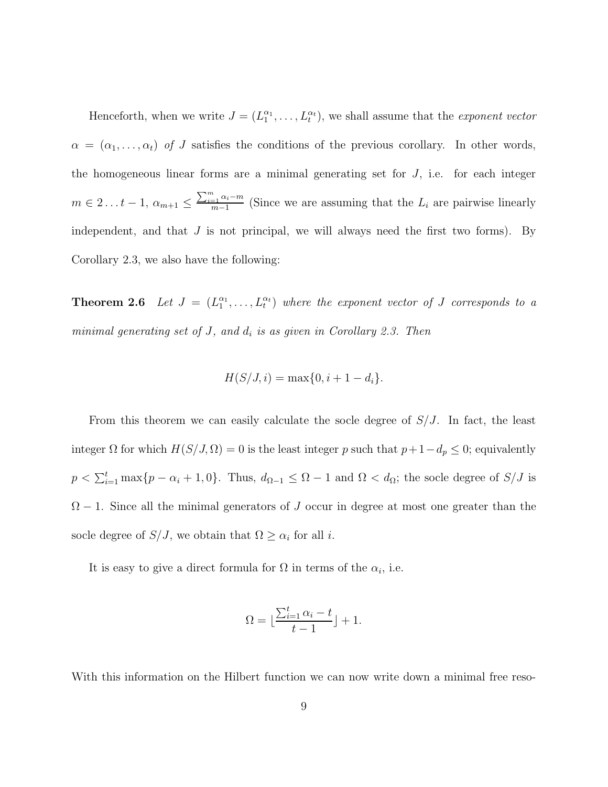Henceforth, when we write  $J = (L_1^{\alpha_1}, \ldots, L_t^{\alpha_t})$ , we shall assume that the *exponent vector*  $\alpha = (\alpha_1, \ldots, \alpha_t)$  of J satisfies the conditions of the previous corollary. In other words, the homogeneous linear forms are a minimal generating set for  $J$ , i.e. for each integer  $m \in 2 \ldots t-1, \, \alpha_{m+1} \leq$  $\frac{\sum_{i=1}^{m} \alpha_i - m}{m-1}$  (Since we are assuming that the  $L_i$  are pairwise linearly independent, and that  $J$  is not principal, we will always need the first two forms). By Corollary 2.3, we also have the following:

**Theorem 2.6** Let  $J = (L_1^{\alpha_1}, \ldots, L_t^{\alpha_t})$  where the exponent vector of J corresponds to a minimal generating set of  $J$ , and  $d_i$  is as given in Corollary 2.3. Then

$$
H(S/J, i) = \max\{0, i + 1 - d_i\}.
$$

From this theorem we can easily calculate the socle degree of  $S/J$ . In fact, the least integer  $\Omega$  for which  $H(S/J, \Omega) = 0$  is the least integer p such that  $p+1-d_p \leq 0$ ; equivalently  $p < \sum_{i=1}^{t} \max\{p - \alpha_i + 1, 0\}$ . Thus,  $d_{\Omega-1} \leq \Omega - 1$  and  $\Omega < d_{\Omega}$ ; the socle degree of  $S/J$  is  $\Omega - 1$ . Since all the minimal generators of J occur in degree at most one greater than the socle degree of  $S/J$ , we obtain that  $\Omega \geq \alpha_i$  for all *i*.

It is easy to give a direct formula for  $\Omega$  in terms of the  $\alpha_i$ , i.e.

$$
\Omega = \lfloor \frac{\sum_{i=1}^{t} \alpha_i - t}{t - 1} \rfloor + 1.
$$

With this information on the Hilbert function we can now write down a minimal free reso-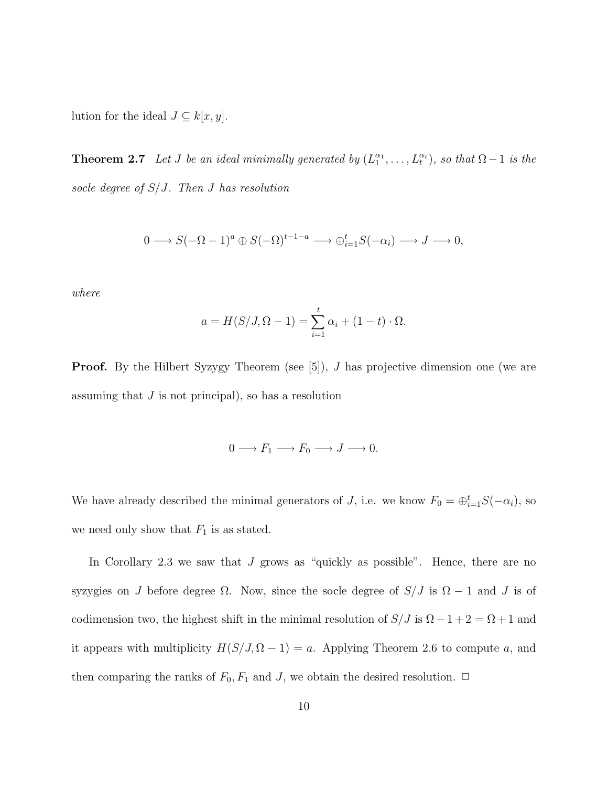lution for the ideal  $J \subseteq k[x,y]$ .

**Theorem 2.7** Let J be an ideal minimally generated by  $(L_1^{\alpha_1}, \ldots, L_t^{\alpha_t})$ , so that  $\Omega - 1$  is the socle degree of  $S/J$ . Then J has resolution

$$
0 \longrightarrow S(-\Omega - 1)^{a} \oplus S(-\Omega)^{t-1-a} \longrightarrow \bigoplus_{i=1}^{t} S(-\alpha_{i}) \longrightarrow J \longrightarrow 0,
$$

where

$$
a = H(S/J, \Omega - 1) = \sum_{i=1}^{t} \alpha_i + (1 - t) \cdot \Omega.
$$

**Proof.** By the Hilbert Syzygy Theorem (see [5]), J has projective dimension one (we are assuming that  $J$  is not principal), so has a resolution

$$
0 \longrightarrow F_1 \longrightarrow F_0 \longrightarrow J \longrightarrow 0.
$$

We have already described the minimal generators of J, i.e. we know  $F_0 = \bigoplus_{i=1}^t S(-\alpha_i)$ , so we need only show that  $F_1$  is as stated.

In Corollary 2.3 we saw that  $J$  grows as "quickly as possible". Hence, there are no syzygies on J before degree  $\Omega$ . Now, since the socle degree of  $S/J$  is  $\Omega - 1$  and J is of codimension two, the highest shift in the minimal resolution of  $S/J$  is  $\Omega - 1 + 2 = \Omega + 1$  and it appears with multiplicity  $H(S/J, \Omega - 1) = a$ . Applying Theorem 2.6 to compute a, and then comparing the ranks of  $F_0, F_1$  and J, we obtain the desired resolution.  $\Box$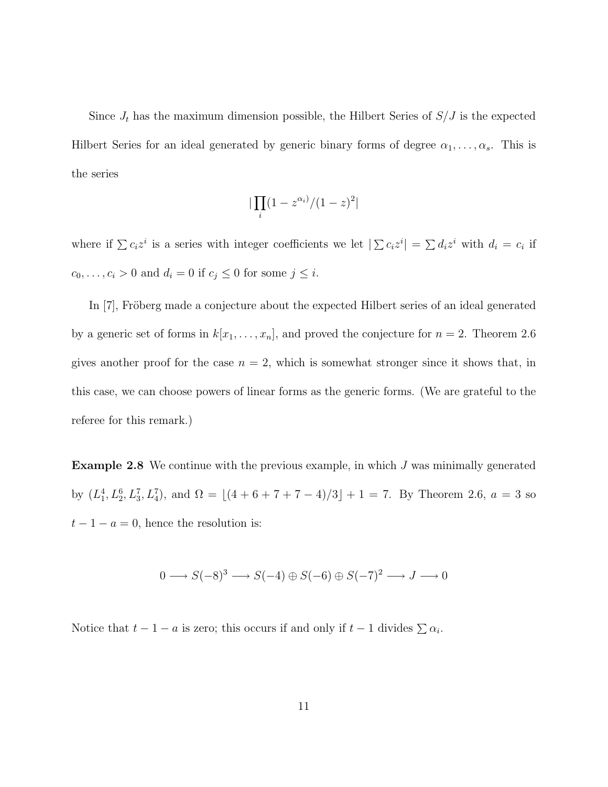Since  $J_t$  has the maximum dimension possible, the Hilbert Series of  $S/J$  is the expected Hilbert Series for an ideal generated by generic binary forms of degree  $\alpha_1, \ldots, \alpha_s$ . This is the series

$$
|\prod_i(1-z^{\alpha_i)}/(1-z)^2|
$$

where if  $\sum c_i z^i$  is a series with integer coefficients we let  $|\sum c_i z^i| = \sum d_i z^i$  with  $d_i = c_i$  if  $c_0, \ldots, c_i > 0$  and  $d_i = 0$  if  $c_j \le 0$  for some  $j \le i$ .

In [7], Fröberg made a conjecture about the expected Hilbert series of an ideal generated by a generic set of forms in  $k[x_1,\ldots,x_n]$ , and proved the conjecture for  $n = 2$ . Theorem 2.6 gives another proof for the case  $n = 2$ , which is somewhat stronger since it shows that, in this case, we can choose powers of linear forms as the generic forms. (We are grateful to the referee for this remark.)

**Example 2.8** We continue with the previous example, in which J was minimally generated by  $(L_1^4, L_2^6, L_3^7, L_4^7)$ , and  $\Omega = \lfloor (4 + 6 + 7 + 7 - 4)/3 \rfloor + 1 = 7$ . By Theorem 2.6,  $a = 3$  so  $t-1-a=0$ , hence the resolution is:

$$
0 \longrightarrow S(-8)^3 \longrightarrow S(-4) \oplus S(-6) \oplus S(-7)^2 \longrightarrow J \longrightarrow 0
$$

Notice that  $t - 1 - a$  is zero; this occurs if and only if  $t - 1$  divides  $\sum \alpha_i$ .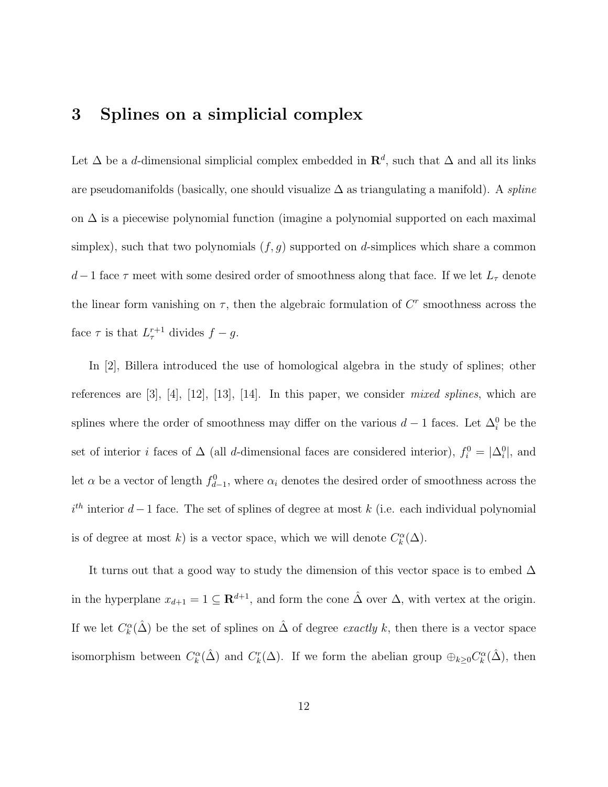### **3 Splines on a simplicial complex**

Let  $\Delta$  be a d-dimensional simplicial complex embedded in  $\mathbb{R}^d$ , such that  $\Delta$  and all its links are pseudomanifolds (basically, one should visualize  $\Delta$  as triangulating a manifold). A *spline* on  $\Delta$  is a piecewise polynomial function (imagine a polynomial supported on each maximal simplex), such that two polynomials  $(f, g)$  supported on d-simplices which share a common d – 1 face  $\tau$  meet with some desired order of smoothness along that face. If we let  $L_{\tau}$  denote the linear form vanishing on  $\tau$ , then the algebraic formulation of  $C^r$  smoothness across the face  $\tau$  is that  $L_{\tau}^{r+1}$  divides  $f - g$ .

In [2], Billera introduced the use of homological algebra in the study of splines; other references are  $[3]$ ,  $[4]$ ,  $[12]$ ,  $[13]$ ,  $[14]$ . In this paper, we consider *mixed splines*, which are splines where the order of smoothness may differ on the various  $d-1$  faces. Let  $\Delta_i^0$  be the set of interior *i* faces of  $\Delta$  (all *d*-dimensional faces are considered interior),  $f_i^0 = |\Delta_i^0|$ , and let  $\alpha$  be a vector of length  $f_{d-1}^0$ , where  $\alpha_i$  denotes the desired order of smoothness across the  $i<sup>th</sup>$  interior  $d-1$  face. The set of splines of degree at most k (i.e. each individual polynomial is of degree at most k) is a vector space, which we will denote  $C_k^{\alpha}(\Delta)$ .

It turns out that a good way to study the dimension of this vector space is to embed  $\Delta$ in the hyperplane  $x_{d+1} = 1 \subseteq \mathbb{R}^{d+1}$ , and form the cone  $\hat{\Delta}$  over  $\Delta$ , with vertex at the origin. If we let  $C_k^{\alpha}(\hat{\Delta})$  be the set of splines on  $\hat{\Delta}$  of degree *exactly k*, then there is a vector space isomorphism between  $C_k^{\alpha}(\hat{\Delta})$  and  $C_k^r(\Delta)$ . If we form the abelian group  $\oplus_{k\geq 0} C_k^{\alpha}(\hat{\Delta})$ , then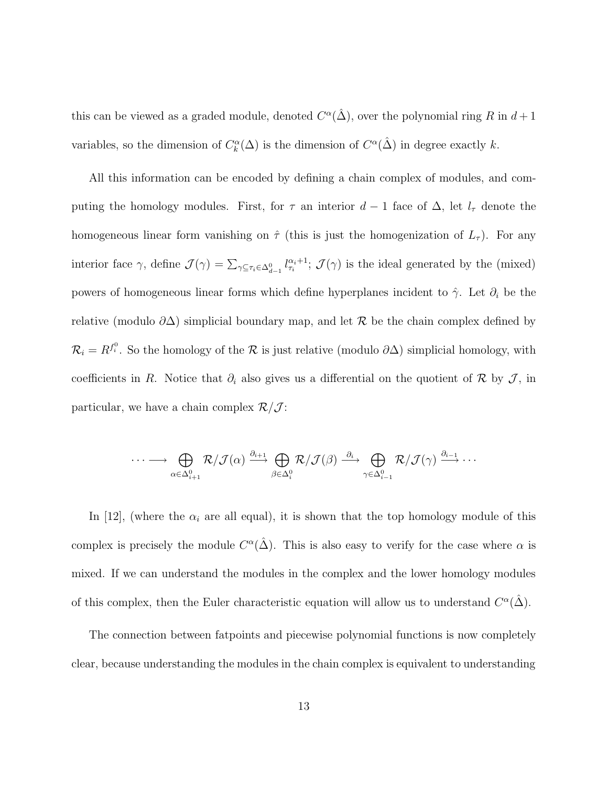this can be viewed as a graded module, denoted  $C^{\alpha}(\hat{\Delta})$ , over the polynomial ring R in  $d+1$ variables, so the dimension of  $C_k^{\alpha}(\Delta)$  is the dimension of  $C^{\alpha}(\hat{\Delta})$  in degree exactly k.

All this information can be encoded by defining a chain complex of modules, and computing the homology modules. First, for  $\tau$  an interior  $d-1$  face of  $\Delta$ , let  $l_{\tau}$  denote the homogeneous linear form vanishing on  $\hat{\tau}$  (this is just the homogenization of  $L_{\tau}$ ). For any interior face  $\gamma$ , define  $\mathcal{J}(\gamma) = \sum_{\gamma \subseteq \tau_i \in \Delta_{d-1}^0} l_{\tau_i}^{\alpha_i+1}$ ;  $\mathcal{J}(\gamma)$  is the ideal generated by the (mixed) powers of homogeneous linear forms which define hyperplanes incident to  $\hat{\gamma}$ . Let  $\partial_i$  be the relative (modulo  $\partial \Delta$ ) simplicial boundary map, and let R be the chain complex defined by  $\mathcal{R}_i = R^{f_i^0}$ . So the homology of the  $\mathcal R$  is just relative (modulo  $\partial \Delta$ ) simplicial homology, with coefficients in R. Notice that  $\partial_i$  also gives us a differential on the quotient of R by J, in particular, we have a chain complex  $\mathcal{R}/\mathcal{J}$ :

$$
\cdots \longrightarrow \bigoplus_{\alpha \in \Delta^0_{i+1}} \mathcal{R}/\mathcal{J}(\alpha) \stackrel{\partial_{i+1}}{\longrightarrow} \bigoplus_{\beta \in \Delta^0_i} \mathcal{R}/\mathcal{J}(\beta) \stackrel{\partial_i}{\longrightarrow} \bigoplus_{\gamma \in \Delta^0_{i-1}} \mathcal{R}/\mathcal{J}(\gamma) \stackrel{\partial_{i-1}}{\longrightarrow} \cdots
$$

In [12], (where the  $\alpha_i$  are all equal), it is shown that the top homology module of this complex is precisely the module  $C^{\alpha}(\hat{\Delta})$ . This is also easy to verify for the case where  $\alpha$  is mixed. If we can understand the modules in the complex and the lower homology modules of this complex, then the Euler characteristic equation will allow us to understand  $C^{\alpha}(\hat{\Delta})$ .

The connection between fatpoints and piecewise polynomial functions is now completely clear, because understanding the modules in the chain complex is equivalent to understanding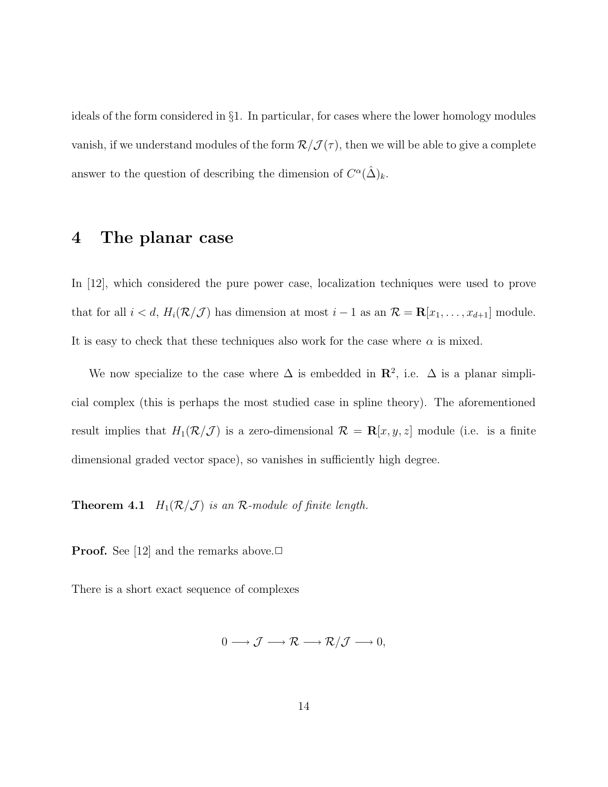ideals of the form considered in §1. In particular, for cases where the lower homology modules vanish, if we understand modules of the form  $\mathcal{R}/\mathcal{J}(\tau)$ , then we will be able to give a complete answer to the question of describing the dimension of  $C^{\alpha}(\hat{\Delta})_k$ .

#### **4 The planar case**

In [12], which considered the pure power case, localization techniques were used to prove that for all  $i < d$ ,  $H_i(\mathcal{R}/\mathcal{J})$  has dimension at most  $i - 1$  as an  $\mathcal{R} = \mathbf{R}[x_1, \ldots, x_{d+1}]$  module. It is easy to check that these techniques also work for the case where  $\alpha$  is mixed.

We now specialize to the case where  $\Delta$  is embedded in  $\mathbb{R}^2$ , i.e.  $\Delta$  is a planar simplicial complex (this is perhaps the most studied case in spline theory). The aforementioned result implies that  $H_1(\mathcal{R}/\mathcal{J})$  is a zero-dimensional  $\mathcal{R} = \mathbf{R}[x, y, z]$  module (i.e. is a finite dimensional graded vector space), so vanishes in sufficiently high degree.

**Theorem 4.1**  $H_1(\mathcal{R}/\mathcal{J})$  is an  $\mathcal{R}\text{-module of finite length.}$ 

**Proof.** See [12] and the remarks above. $\Box$ 

There is a short exact sequence of complexes

$$
0 \longrightarrow \mathcal{J} \longrightarrow \mathcal{R} \longrightarrow \mathcal{R}/\mathcal{J} \longrightarrow 0,
$$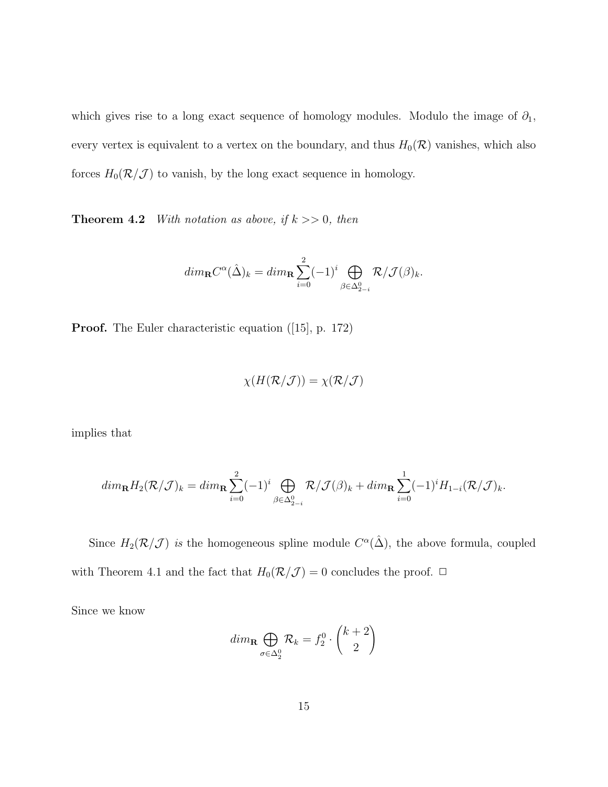which gives rise to a long exact sequence of homology modules. Modulo the image of  $\partial_1$ , every vertex is equivalent to a vertex on the boundary, and thus  $H_0(\mathcal{R})$  vanishes, which also forces  $H_0(\mathcal{R}/\mathcal{J})$  to vanish, by the long exact sequence in homology.

**Theorem 4.2** With notation as above, if  $k \geq 0$ , then

$$
dim_{\mathbf{R}}C^{\alpha}(\hat{\Delta})_k = dim_{\mathbf{R}} \sum_{i=0}^{2} (-1)^i \bigoplus_{\beta \in \Delta^0_{2-i}} \mathcal{R}/\mathcal{J}(\beta)_k.
$$

**Proof.** The Euler characteristic equation ([15], p. 172)

$$
\chi(H(\mathcal{R}/\mathcal{J})) = \chi(\mathcal{R}/\mathcal{J})
$$

implies that

$$
dim_{\mathbf{R}}H_2(\mathcal{R}/\mathcal{J})_k = dim_{\mathbf{R}}\sum_{i=0}^2(-1)^i \bigoplus_{\beta \in \Delta_{2-i}^0} \mathcal{R}/\mathcal{J}(\beta)_k + dim_{\mathbf{R}}\sum_{i=0}^1(-1)^i H_{1-i}(\mathcal{R}/\mathcal{J})_k.
$$

Since  $H_2(\mathcal{R}/\mathcal{J})$  is the homogeneous spline module  $C^{\alpha}(\hat{\Delta})$ , the above formula, coupled with Theorem 4.1 and the fact that  $H_0(\mathcal{R}/\mathcal{J}) = 0$  concludes the proof.  $\Box$ 

Since we know

$$
dim_{\mathbf{R}} \bigoplus_{\sigma \in \Delta_2^0} \mathcal{R}_k = f_2^0 \cdot \binom{k+2}{2}
$$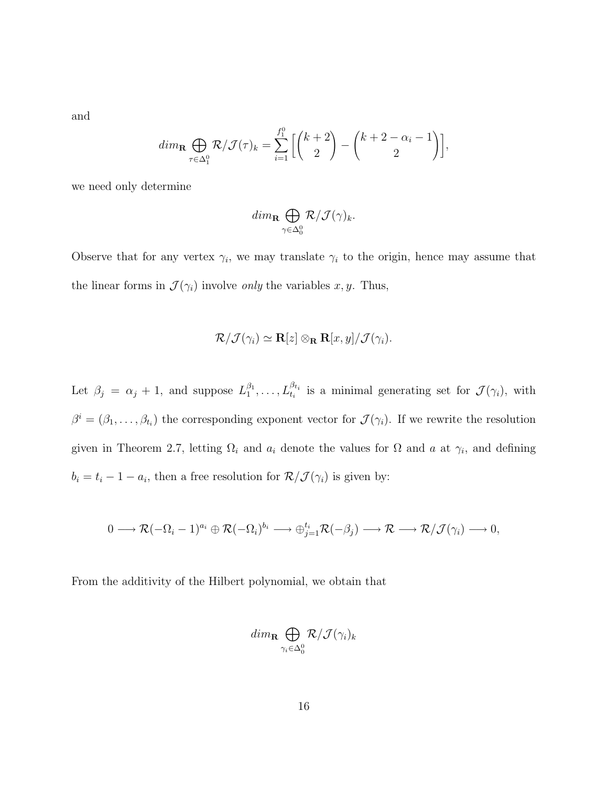and

$$
dim_{\mathbf{R}} \bigoplus_{\tau \in \Delta_1^0} \mathcal{R}/\mathcal{J}(\tau)_k = \sum_{i=1}^{f_1^0} \left[ \binom{k+2}{2} - \binom{k+2-\alpha_i-1}{2} \right],
$$

we need only determine

$$
dim_{\mathbf{R}} \bigoplus_{\gamma \in \Delta^0_0} \mathcal{R}/\mathcal{J}(\gamma)_k.
$$

Observe that for any vertex  $\gamma_i$ , we may translate  $\gamma_i$  to the origin, hence may assume that the linear forms in  $\mathcal{J}(\gamma_i)$  involve *only* the variables x, y. Thus,

$$
\mathcal{R}/\mathcal{J}(\gamma_i) \simeq \mathbf{R}[z] \otimes_{\mathbf{R}} \mathbf{R}[x, y] / \mathcal{J}(\gamma_i).
$$

Let  $\beta_j = \alpha_j + 1$ , and suppose  $L_1^{\beta_1}, \ldots, L_{t_i}^{\beta_{t_i}}$  is a minimal generating set for  $\mathcal{J}(\gamma_i)$ , with  $\beta^i = (\beta_1, \ldots, \beta_{t_i})$  the corresponding exponent vector for  $\mathcal{J}(\gamma_i)$ . If we rewrite the resolution given in Theorem 2.7, letting  $\Omega_i$  and  $a_i$  denote the values for  $\Omega$  and  $a$  at  $\gamma_i$ , and defining  $b_i = t_i - 1 - a_i$ , then a free resolution for  $\mathcal{R}/\mathcal{J}(\gamma_i)$  is given by:

$$
0 \longrightarrow \mathcal{R}(-\Omega_i-1)^{a_i} \oplus \mathcal{R}(-\Omega_i)^{b_i} \longrightarrow \oplus_{j=1}^{t_i} \mathcal{R}(-\beta_j) \longrightarrow \mathcal{R} \longrightarrow \mathcal{R}/\mathcal{J}(\gamma_i) \longrightarrow 0,
$$

From the additivity of the Hilbert polynomial, we obtain that

$$
dim_{\mathbf{R}} \bigoplus_{\gamma_i \in \Delta_0^0} R/\mathcal{J}(\gamma_i)_k
$$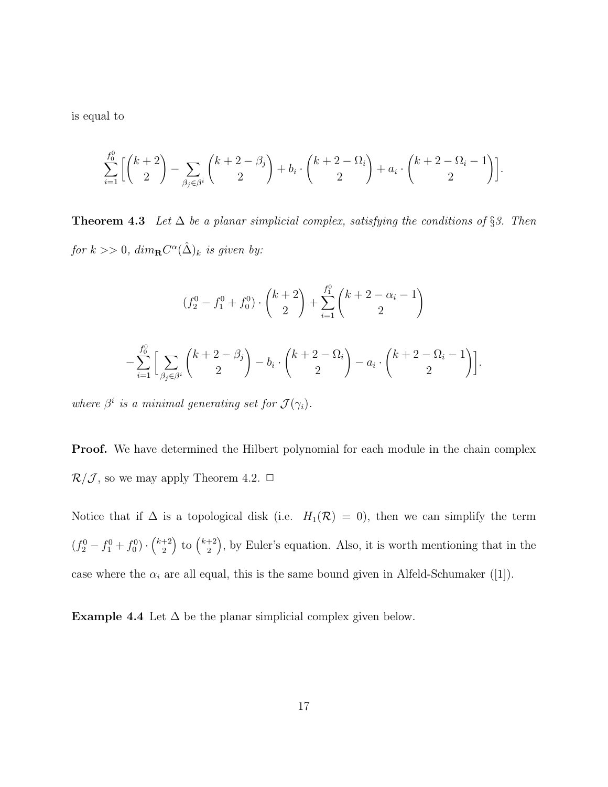is equal to

$$
\sum_{i=1}^{f_0^0} \left[ \binom{k+2}{2} - \sum_{\beta_j \in \beta^i} \binom{k+2-\beta_j}{2} + b_i \cdot \binom{k+2-\Omega_i}{2} + a_i \cdot \binom{k+2-\Omega_i-1}{2} \right].
$$

**Theorem 4.3** Let  $\Delta$  be a planar simplicial complex, satisfying the conditions of §3. Then for  $k >> 0$ ,  $dim_{\mathbf{R}} C^{\alpha}(\hat{\Delta})_k$  is given by:

$$
(f_2^0 - f_1^0 + f_0^0) \cdot \binom{k+2}{2} + \sum_{i=1}^{f_1^0} \binom{k+2-\alpha_i-1}{2} - \sum_{i=1}^{f_0^0} \left[ \sum_{\beta_j \in \beta^i} \binom{k+2-\beta_j}{2} - b_i \cdot \binom{k+2-\Omega_i}{2} - a_i \cdot \binom{k+2-\Omega_i-1}{2} \right].
$$

where  $\beta^i$  is a minimal generating set for  $\mathcal{J}(\gamma_i)$ .

**Proof.** We have determined the Hilbert polynomial for each module in the chain complex  $\mathcal{R}/\mathcal{J}$ , so we may apply Theorem 4.2.  $\Box$ 

Notice that if  $\Delta$  is a topological disk (i.e.  $H_1(\mathcal{R}) = 0$ ), then we can simplify the term  $(f_2^0-f_1^0+f_0^0)\cdot \binom{k+2}{2}$  $\binom{k+2}{2}$  to  $\binom{k+2}{2}$  $\binom{+2}{2}$ , by Euler's equation. Also, it is worth mentioning that in the case where the  $\alpha_i$  are all equal, this is the same bound given in Alfeld-Schumaker ([1]).

**Example 4.4** Let  $\Delta$  be the planar simplicial complex given below.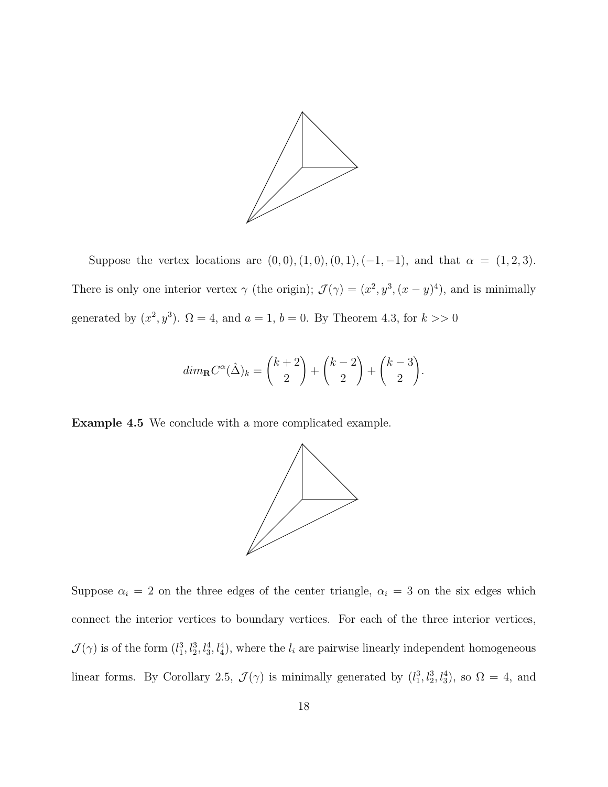

Suppose the vertex locations are  $(0, 0), (1, 0), (0, 1), (-1, -1)$ , and that  $\alpha = (1, 2, 3)$ . There is only one interior vertex  $\gamma$  (the origin);  $\mathcal{J}(\gamma)=(x^2, y^3, (x - y)^4)$ , and is minimally generated by  $(x^2, y^3)$ .  $\Omega = 4$ , and  $a = 1$ ,  $b = 0$ . By Theorem 4.3, for  $k >> 0$ 

$$
dim_{\mathbf{R}}C^{\alpha}(\hat{\Delta})_k = {k+2 \choose 2} + {k-2 \choose 2} + {k-3 \choose 2}.
$$

**Example 4.5** We conclude with a more complicated example.



Suppose  $\alpha_i = 2$  on the three edges of the center triangle,  $\alpha_i = 3$  on the six edges which connect the interior vertices to boundary vertices. For each of the three interior vertices,  $\mathcal{J}(\gamma)$  is of the form  $(l_1^3, l_2^3, l_3^4, l_4^4)$ , where the  $l_i$  are pairwise linearly independent homogeneous linear forms. By Corollary 2.5,  $\mathcal{J}(\gamma)$  is minimally generated by  $(l_1^3, l_2^3, l_3^4)$ , so  $\Omega = 4$ , and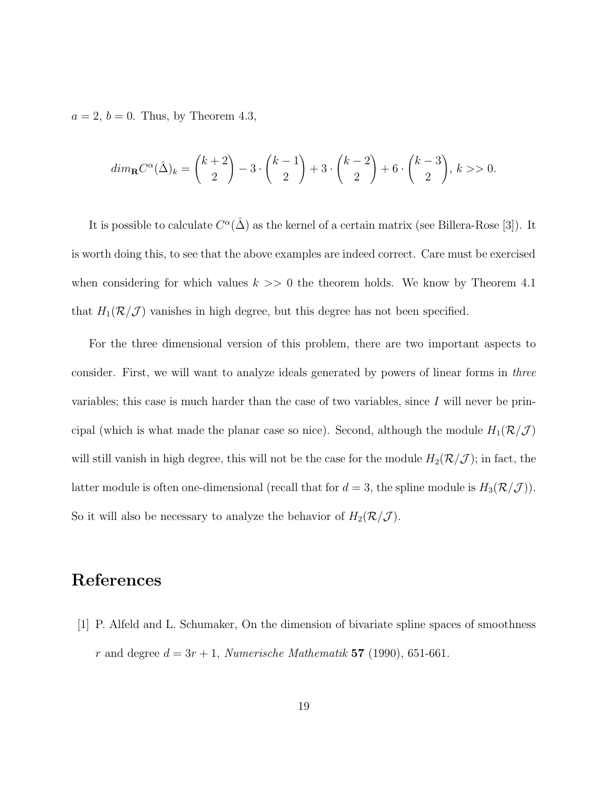$a = 2, b = 0$ . Thus, by Theorem 4.3,

$$
dim_{\mathbf{R}}C^{\alpha}(\hat{\Delta})_k = {k+2 \choose 2} - 3 \cdot {k-1 \choose 2} + 3 \cdot {k-2 \choose 2} + 6 \cdot {k-3 \choose 2}, k >> 0.
$$

It is possible to calculate  $C^{\alpha}(\hat{\Delta})$  as the kernel of a certain matrix (see Billera-Rose [3]). It is worth doing this, to see that the above examples are indeed correct. Care must be exercised when considering for which values  $k \geq 0$  the theorem holds. We know by Theorem 4.1 that  $H_1(\mathcal{R}/\mathcal{J})$  vanishes in high degree, but this degree has not been specified.

For the three dimensional version of this problem, there are two important aspects to consider. First, we will want to analyze ideals generated by powers of linear forms in three variables; this case is much harder than the case of two variables, since  $I$  will never be principal (which is what made the planar case so nice). Second, although the module  $H_1(\mathcal{R}/\mathcal{J})$ will still vanish in high degree, this will not be the case for the module  $H_2(\mathcal{R}/\mathcal{J})$ ; in fact, the latter module is often one-dimensional (recall that for  $d = 3$ , the spline module is  $H_3(\mathcal{R}/\mathcal{J})$ ). So it will also be necessary to analyze the behavior of  $H_2(\mathcal{R}/\mathcal{J})$ .

# **References**

[1] P. Alfeld and L. Schumaker, On the dimension of bivariate spline spaces of smoothness  $r$  and degree  $d = 3r + 1$ , *Numerische Mathematik* **57** (1990), 651-661.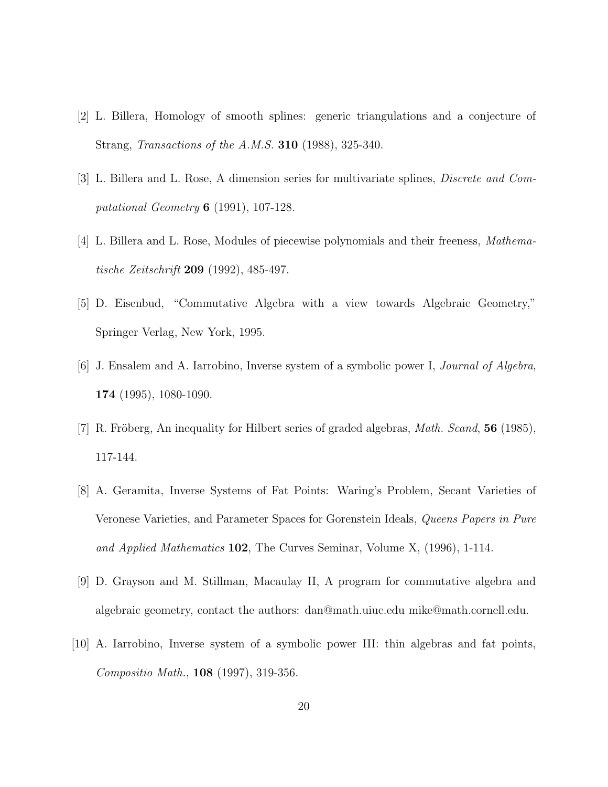- [2] L. Billera, Homology of smooth splines: generic triangulations and a conjecture of Strang, Transactions of the A.M.S. **310** (1988), 325-340.
- [3] L. Billera and L. Rose, A dimension series for multivariate splines, Discrete and Computational Geometry **6** (1991), 107-128.
- [4] L. Billera and L. Rose, Modules of piecewise polynomials and their freeness, Mathematische Zeitschrift **209** (1992), 485-497.
- [5] D. Eisenbud, "Commutative Algebra with a view towards Algebraic Geometry," Springer Verlag, New York, 1995.
- [6] J. Ensalem and A. Iarrobino, Inverse system of a symbolic power I, Journal of Algebra, **174** (1995), 1080-1090.
- [7] R. Fröberg, An inequality for Hilbert series of graded algebras, *Math. Scand*, **56** (1985), 117-144.
- [8] A. Geramita, Inverse Systems of Fat Points: Waring's Problem, Secant Varieties of Veronese Varieties, and Parameter Spaces for Gorenstein Ideals, Queens Papers in Pure and Applied Mathematics **102**, The Curves Seminar, Volume X, (1996), 1-114.
- [9] D. Grayson and M. Stillman, Macaulay II, A program for commutative algebra and algebraic geometry, contact the authors: dan@math.uiuc.edu mike@math.cornell.edu.
- [10] A. Iarrobino, Inverse system of a symbolic power III: thin algebras and fat points, Compositio Math., **108** (1997), 319-356.